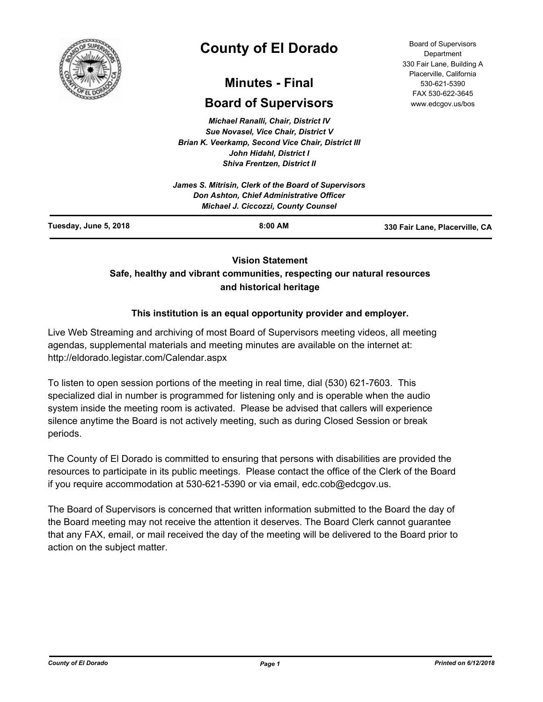

# **County of El Dorado**

## **Minutes - Final**

## **Board of Supervisors**

*Michael Ranalli, Chair, District IV Sue Novasel, Vice Chair, District V Brian K. Veerkamp, Second Vice Chair, District III John Hidahl, District I Shiva Frentzen, District II*

| Tuesday, June 5, 2018 | $8:00$ AM                                                                              | 330 Fair Lane, Placerville, CA |
|-----------------------|----------------------------------------------------------------------------------------|--------------------------------|
|                       | Don Ashton, Chief Administrative Officer<br><b>Michael J. Ciccozzi, County Counsel</b> |                                |
|                       | James S. Mitrisin, Clerk of the Board of Supervisors                                   |                                |

**Vision Statement** 

## **Safe, healthy and vibrant communities, respecting our natural resources and historical heritage**

## **This institution is an equal opportunity provider and employer.**

Live Web Streaming and archiving of most Board of Supervisors meeting videos, all meeting agendas, supplemental materials and meeting minutes are available on the internet at: http://eldorado.legistar.com/Calendar.aspx

To listen to open session portions of the meeting in real time, dial (530) 621-7603. This specialized dial in number is programmed for listening only and is operable when the audio system inside the meeting room is activated. Please be advised that callers will experience silence anytime the Board is not actively meeting, such as during Closed Session or break periods.

The County of El Dorado is committed to ensuring that persons with disabilities are provided the resources to participate in its public meetings. Please contact the office of the Clerk of the Board if you require accommodation at 530-621-5390 or via email, edc.cob@edcgov.us.

The Board of Supervisors is concerned that written information submitted to the Board the day of the Board meeting may not receive the attention it deserves. The Board Clerk cannot guarantee that any FAX, email, or mail received the day of the meeting will be delivered to the Board prior to action on the subject matter.

Board of Supervisors Department 330 Fair Lane, Building A Placerville, California 530-621-5390 FAX 530-622-3645 www.edcgov.us/bos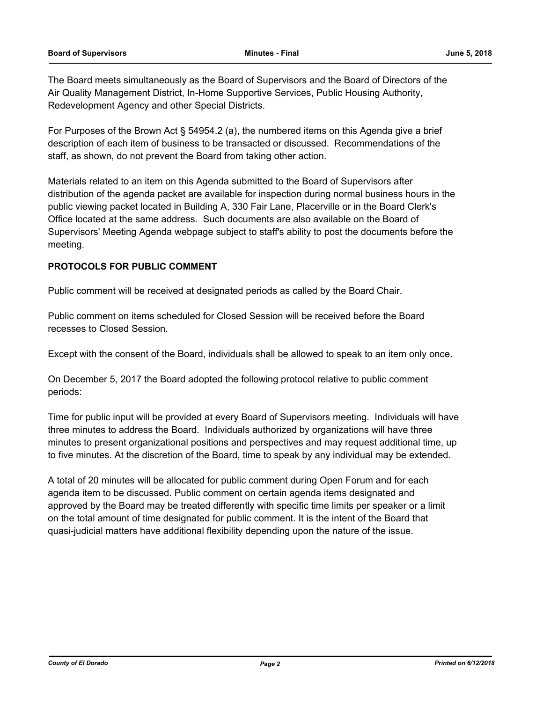The Board meets simultaneously as the Board of Supervisors and the Board of Directors of the Air Quality Management District, In-Home Supportive Services, Public Housing Authority, Redevelopment Agency and other Special Districts.

For Purposes of the Brown Act § 54954.2 (a), the numbered items on this Agenda give a brief description of each item of business to be transacted or discussed. Recommendations of the staff, as shown, do not prevent the Board from taking other action.

Materials related to an item on this Agenda submitted to the Board of Supervisors after distribution of the agenda packet are available for inspection during normal business hours in the public viewing packet located in Building A, 330 Fair Lane, Placerville or in the Board Clerk's Office located at the same address. Such documents are also available on the Board of Supervisors' Meeting Agenda webpage subject to staff's ability to post the documents before the meeting.

## **PROTOCOLS FOR PUBLIC COMMENT**

Public comment will be received at designated periods as called by the Board Chair.

Public comment on items scheduled for Closed Session will be received before the Board recesses to Closed Session.

Except with the consent of the Board, individuals shall be allowed to speak to an item only once.

On December 5, 2017 the Board adopted the following protocol relative to public comment periods:

Time for public input will be provided at every Board of Supervisors meeting. Individuals will have three minutes to address the Board. Individuals authorized by organizations will have three minutes to present organizational positions and perspectives and may request additional time, up to five minutes. At the discretion of the Board, time to speak by any individual may be extended.

A total of 20 minutes will be allocated for public comment during Open Forum and for each agenda item to be discussed. Public comment on certain agenda items designated and approved by the Board may be treated differently with specific time limits per speaker or a limit on the total amount of time designated for public comment. It is the intent of the Board that quasi-judicial matters have additional flexibility depending upon the nature of the issue.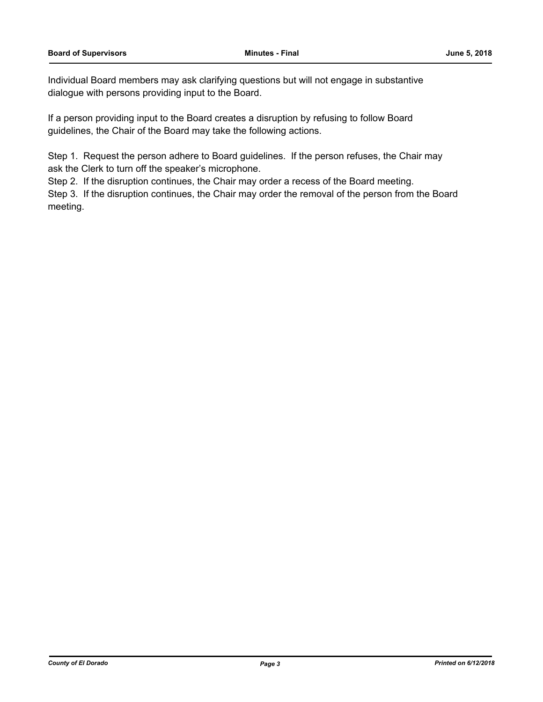Individual Board members may ask clarifying questions but will not engage in substantive dialogue with persons providing input to the Board.

If a person providing input to the Board creates a disruption by refusing to follow Board guidelines, the Chair of the Board may take the following actions.

Step 1. Request the person adhere to Board guidelines. If the person refuses, the Chair may ask the Clerk to turn off the speaker's microphone.

Step 2. If the disruption continues, the Chair may order a recess of the Board meeting.

Step 3. If the disruption continues, the Chair may order the removal of the person from the Board meeting.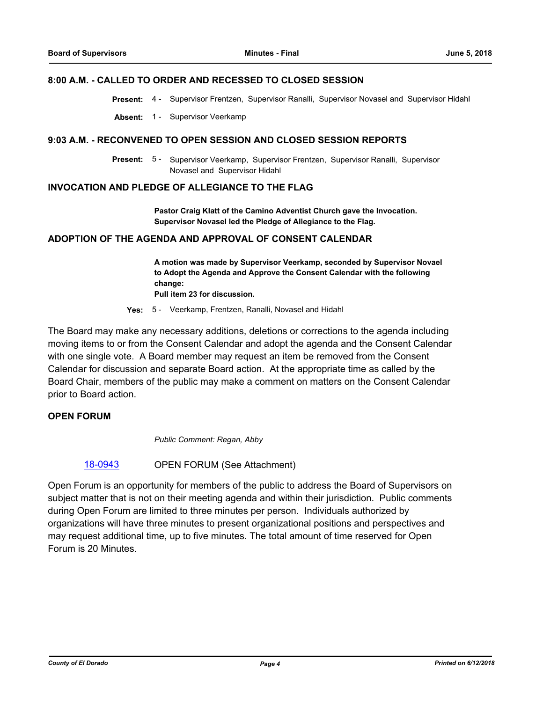#### **8:00 A.M. - CALLED TO ORDER AND RECESSED TO CLOSED SESSION**

**Present:** 4 - Supervisor Frentzen, Supervisor Ranalli, Supervisor Novasel and Supervisor Hidahl

**Absent:** 1 - Supervisor Veerkamp

#### **9:03 A.M. - RECONVENED TO OPEN SESSION AND CLOSED SESSION REPORTS**

Present: 5 - Supervisor Veerkamp, Supervisor Frentzen, Supervisor Ranalli, Supervisor Novasel and Supervisor Hidahl

#### **INVOCATION AND PLEDGE OF ALLEGIANCE TO THE FLAG**

**Pastor Craig Klatt of the Camino Adventist Church gave the Invocation. Supervisor Novasel led the Pledge of Allegiance to the Flag.**

#### **ADOPTION OF THE AGENDA AND APPROVAL OF CONSENT CALENDAR**

**A motion was made by Supervisor Veerkamp, seconded by Supervisor Novael to Adopt the Agenda and Approve the Consent Calendar with the following change: Pull item 23 for discussion.**

**Yes:** 5 - Veerkamp, Frentzen, Ranalli, Novasel and Hidahl

The Board may make any necessary additions, deletions or corrections to the agenda including moving items to or from the Consent Calendar and adopt the agenda and the Consent Calendar with one single vote. A Board member may request an item be removed from the Consent Calendar for discussion and separate Board action. At the appropriate time as called by the Board Chair, members of the public may make a comment on matters on the Consent Calendar prior to Board action.

## **OPEN FORUM**

*Public Comment: Regan, Abby*

#### [18-0943](http://eldorado.legistar.com/gateway.aspx?m=l&id=/matter.aspx?key=24291) OPEN FORUM (See Attachment)

Open Forum is an opportunity for members of the public to address the Board of Supervisors on subject matter that is not on their meeting agenda and within their jurisdiction. Public comments during Open Forum are limited to three minutes per person. Individuals authorized by organizations will have three minutes to present organizational positions and perspectives and may request additional time, up to five minutes. The total amount of time reserved for Open Forum is 20 Minutes.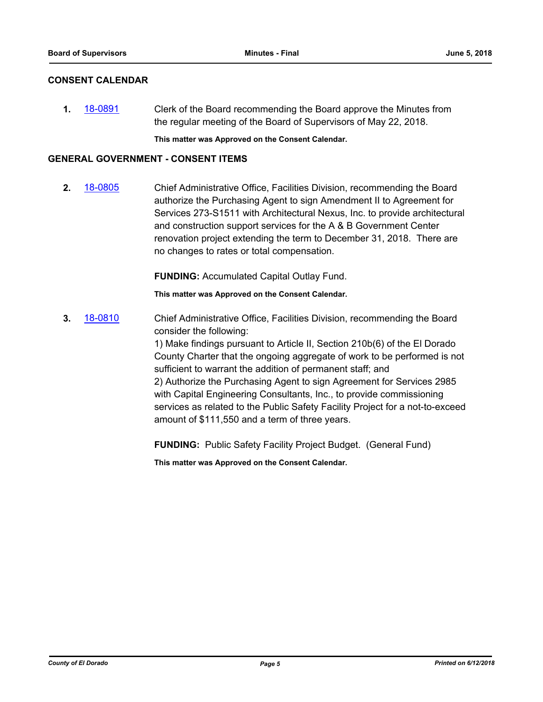## **CONSENT CALENDAR**

**1.** [18-0891](http://eldorado.legistar.com/gateway.aspx?m=l&id=/matter.aspx?key=24238) Clerk of the Board recommending the Board approve the Minutes from the regular meeting of the Board of Supervisors of May 22, 2018.

**This matter was Approved on the Consent Calendar.**

#### **GENERAL GOVERNMENT - CONSENT ITEMS**

**2.** [18-0805](http://eldorado.legistar.com/gateway.aspx?m=l&id=/matter.aspx?key=24152) Chief Administrative Office, Facilities Division, recommending the Board authorize the Purchasing Agent to sign Amendment II to Agreement for Services 273-S1511 with Architectural Nexus, Inc. to provide architectural and construction support services for the A & B Government Center renovation project extending the term to December 31, 2018. There are no changes to rates or total compensation.

**FUNDING:** Accumulated Capital Outlay Fund.

**This matter was Approved on the Consent Calendar.**

**3.** [18-0810](http://eldorado.legistar.com/gateway.aspx?m=l&id=/matter.aspx?key=24157) Chief Administrative Office, Facilities Division, recommending the Board consider the following:

> 1) Make findings pursuant to Article II, Section 210b(6) of the El Dorado County Charter that the ongoing aggregate of work to be performed is not sufficient to warrant the addition of permanent staff; and 2) Authorize the Purchasing Agent to sign Agreement for Services 2985 with Capital Engineering Consultants, Inc., to provide commissioning services as related to the Public Safety Facility Project for a not-to-exceed amount of \$111,550 and a term of three years.

**FUNDING:** Public Safety Facility Project Budget. (General Fund)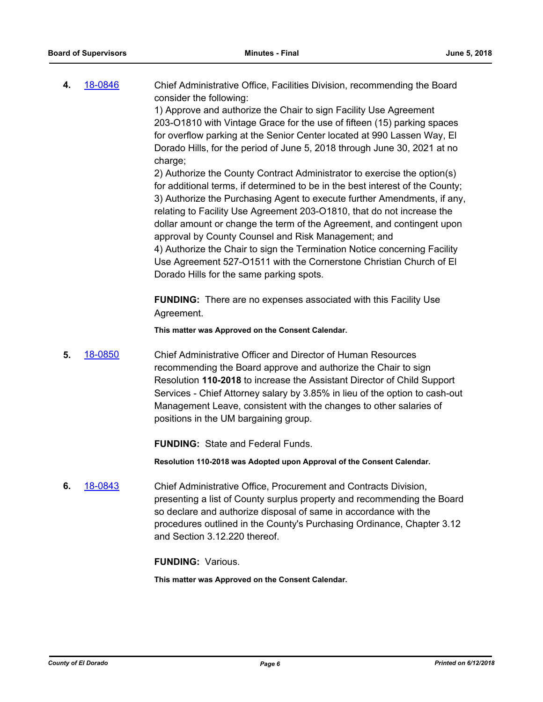| 4. | 18-0846 | Chief Administrative Office, Facilities Division, recommending the Board<br>consider the following: |
|----|---------|-----------------------------------------------------------------------------------------------------|
|    |         | 1) Approve and authorize the Chair to sign Facility Use Agreement                                   |
|    |         | 203-O1810 with Vintage Grace for the use of fifteen (15) parking spaces                             |
|    |         | for overflow parking at the Senior Center located at 990 Lassen Way, El                             |
|    |         | Dorado Hills, for the period of June 5, 2018 through June 30, 2021 at no                            |
|    |         | charge;                                                                                             |
|    |         | 2) Authorize the County Contract Administrator to exercise the option(s)                            |
|    |         | for additional terms, if determined to be in the best interest of the County;                       |
|    |         | 3) Authorize the Purchasing Agent to execute further Amendments, if any,                            |
|    |         | relating to Facility Use Agreement 203-O1810, that do not increase the                              |
|    |         | dollar amount or change the term of the Agreement, and contingent upon                              |
|    |         | approval by County Counsel and Risk Management; and                                                 |
|    |         | 4) Authorize the Chair to sign the Termination Notice concerning Facility                           |
|    |         | Use Agreement 527-O1511 with the Cornerstone Christian Church of El                                 |
|    |         | Dorado Hills for the same parking spots.                                                            |

**FUNDING:** There are no expenses associated with this Facility Use Agreement.

**This matter was Approved on the Consent Calendar.**

**5.** [18-0850](http://eldorado.legistar.com/gateway.aspx?m=l&id=/matter.aspx?key=24197) Chief Administrative Officer and Director of Human Resources recommending the Board approve and authorize the Chair to sign Resolution **110-2018** to increase the Assistant Director of Child Support Services - Chief Attorney salary by 3.85% in lieu of the option to cash-out Management Leave, consistent with the changes to other salaries of positions in the UM bargaining group.

**FUNDING:** State and Federal Funds.

**Resolution 110-2018 was Adopted upon Approval of the Consent Calendar.**

**6.** [18-0843](http://eldorado.legistar.com/gateway.aspx?m=l&id=/matter.aspx?key=24190) Chief Administrative Office, Procurement and Contracts Division, presenting a list of County surplus property and recommending the Board so declare and authorize disposal of same in accordance with the procedures outlined in the County's Purchasing Ordinance, Chapter 3.12 and Section 3.12.220 thereof.

**FUNDING:** Various.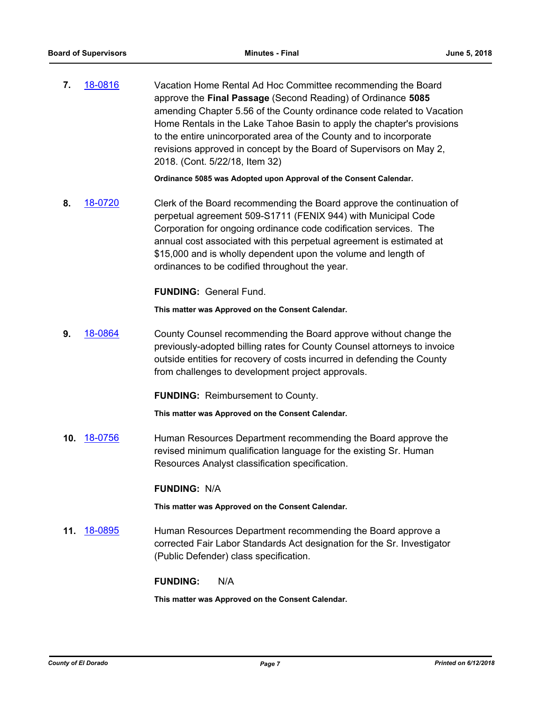**7.** [18-0816](http://eldorado.legistar.com/gateway.aspx?m=l&id=/matter.aspx?key=24163) Vacation Home Rental Ad Hoc Committee recommending the Board approve the **Final Passage** (Second Reading) of Ordinance **5085** amending Chapter 5.56 of the County ordinance code related to Vacation Home Rentals in the Lake Tahoe Basin to apply the chapter's provisions to the entire unincorporated area of the County and to incorporate revisions approved in concept by the Board of Supervisors on May 2, 2018. (Cont. 5/22/18, Item 32)

**Ordinance 5085 was Adopted upon Approval of the Consent Calendar.**

**8.** [18-0720](http://eldorado.legistar.com/gateway.aspx?m=l&id=/matter.aspx?key=24066) Clerk of the Board recommending the Board approve the continuation of perpetual agreement 509-S1711 (FENIX 944) with Municipal Code Corporation for ongoing ordinance code codification services. The annual cost associated with this perpetual agreement is estimated at \$15,000 and is wholly dependent upon the volume and length of ordinances to be codified throughout the year.

**FUNDING:** General Fund.

**This matter was Approved on the Consent Calendar.**

**9.** [18-0864](http://eldorado.legistar.com/gateway.aspx?m=l&id=/matter.aspx?key=24211) County Counsel recommending the Board approve without change the previously-adopted billing rates for County Counsel attorneys to invoice outside entities for recovery of costs incurred in defending the County from challenges to development project approvals.

**FUNDING:** Reimbursement to County.

**This matter was Approved on the Consent Calendar.**

**10.** [18-0756](http://eldorado.legistar.com/gateway.aspx?m=l&id=/matter.aspx?key=24103) Human Resources Department recommending the Board approve the revised minimum qualification language for the existing Sr. Human Resources Analyst classification specification.

#### **FUNDING:** N/A

**This matter was Approved on the Consent Calendar.**

**11.** [18-0895](http://eldorado.legistar.com/gateway.aspx?m=l&id=/matter.aspx?key=24242) Human Resources Department recommending the Board approve a corrected Fair Labor Standards Act designation for the Sr. Investigator (Public Defender) class specification.

#### **FUNDING:** N/A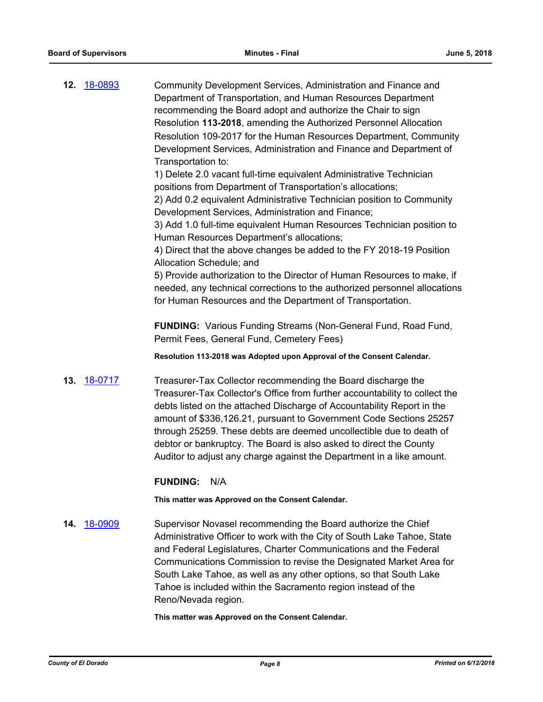|     | 12. 18-0893 | Community Development Services, Administration and Finance and<br>Department of Transportation, and Human Resources Department<br>recommending the Board adopt and authorize the Chair to sign<br>Resolution 113-2018, amending the Authorized Personnel Allocation<br>Resolution 109-2017 for the Human Resources Department, Community<br>Development Services, Administration and Finance and Department of<br>Transportation to:                                                                              |
|-----|-------------|-------------------------------------------------------------------------------------------------------------------------------------------------------------------------------------------------------------------------------------------------------------------------------------------------------------------------------------------------------------------------------------------------------------------------------------------------------------------------------------------------------------------|
|     |             | 1) Delete 2.0 vacant full-time equivalent Administrative Technician<br>positions from Department of Transportation's allocations;<br>2) Add 0.2 equivalent Administrative Technician position to Community<br>Development Services, Administration and Finance;<br>3) Add 1.0 full-time equivalent Human Resources Technician position to<br>Human Resources Department's allocations;<br>4) Direct that the above changes be added to the FY 2018-19 Position                                                    |
|     |             | Allocation Schedule; and<br>5) Provide authorization to the Director of Human Resources to make, if<br>needed, any technical corrections to the authorized personnel allocations<br>for Human Resources and the Department of Transportation.                                                                                                                                                                                                                                                                     |
|     |             | <b>FUNDING:</b> Various Funding Streams (Non-General Fund, Road Fund,<br>Permit Fees, General Fund, Cemetery Fees)                                                                                                                                                                                                                                                                                                                                                                                                |
|     |             | Resolution 113-2018 was Adopted upon Approval of the Consent Calendar.                                                                                                                                                                                                                                                                                                                                                                                                                                            |
|     | 13. 18-0717 | Treasurer-Tax Collector recommending the Board discharge the<br>Treasurer-Tax Collector's Office from further accountability to collect the<br>debts listed on the attached Discharge of Accountability Report in the<br>amount of \$336,126.21, pursuant to Government Code Sections 25257<br>through 25259. These debts are deemed uncollectible due to death of<br>debtor or bankruptcy. The Board is also asked to direct the County<br>Auditor to adjust any charge against the Department in a like amount. |
|     |             | <b>FUNDING:</b><br>N/A                                                                                                                                                                                                                                                                                                                                                                                                                                                                                            |
|     |             | This matter was Approved on the Consent Calendar.                                                                                                                                                                                                                                                                                                                                                                                                                                                                 |
| 14. | 18-0909     | Supervisor Novasel recommending the Board authorize the Chief<br>Administrative Officer to work with the City of South Lake Tahoe, State<br>and Federal Legislatures, Charter Communications and the Federal<br>Communications Commission to revise the Designated Market Area for<br>South Lake Tahoe, as well as any other options, so that South Lake<br>Tahoe is included within the Sacramento region instead of the                                                                                         |

**This matter was Approved on the Consent Calendar.**

Reno/Nevada region.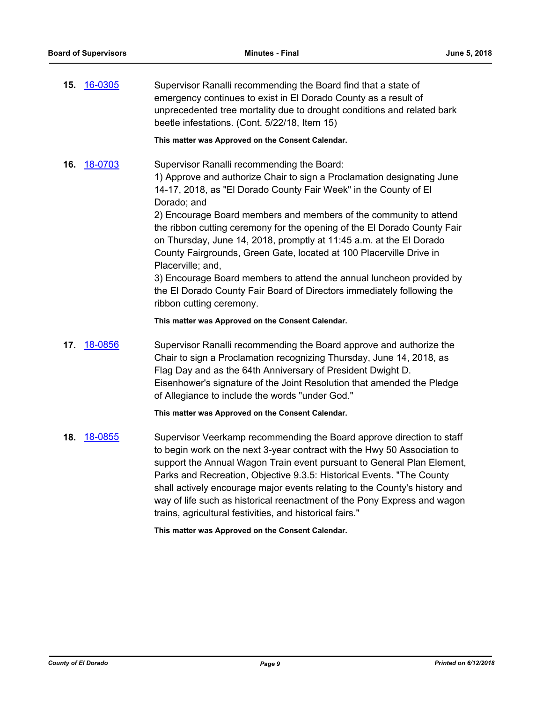**15.** [16-0305](http://eldorado.legistar.com/gateway.aspx?m=l&id=/matter.aspx?key=20961) Supervisor Ranalli recommending the Board find that a state of emergency continues to exist in El Dorado County as a result of unprecedented tree mortality due to drought conditions and related bark beetle infestations. (Cont. 5/22/18, Item 15)

**This matter was Approved on the Consent Calendar.**

**16.** [18-0703](http://eldorado.legistar.com/gateway.aspx?m=l&id=/matter.aspx?key=24047) Supervisor Ranalli recommending the Board: 1) Approve and authorize Chair to sign a Proclamation designating June 14-17, 2018, as "El Dorado County Fair Week" in the County of El Dorado; and

> 2) Encourage Board members and members of the community to attend the ribbon cutting ceremony for the opening of the El Dorado County Fair on Thursday, June 14, 2018, promptly at 11:45 a.m. at the El Dorado County Fairgrounds, Green Gate, located at 100 Placerville Drive in Placerville; and,

> 3) Encourage Board members to attend the annual luncheon provided by the El Dorado County Fair Board of Directors immediately following the ribbon cutting ceremony.

**This matter was Approved on the Consent Calendar.**

**17.** [18-0856](http://eldorado.legistar.com/gateway.aspx?m=l&id=/matter.aspx?key=24203) Supervisor Ranalli recommending the Board approve and authorize the Chair to sign a Proclamation recognizing Thursday, June 14, 2018, as Flag Day and as the 64th Anniversary of President Dwight D. Eisenhower's signature of the Joint Resolution that amended the Pledge of Allegiance to include the words "under God."

#### **This matter was Approved on the Consent Calendar.**

**18.** [18-0855](http://eldorado.legistar.com/gateway.aspx?m=l&id=/matter.aspx?key=24202) Supervisor Veerkamp recommending the Board approve direction to staff to begin work on the next 3-year contract with the Hwy 50 Association to support the Annual Wagon Train event pursuant to General Plan Element, Parks and Recreation, Objective 9.3.5: Historical Events. "The County shall actively encourage major events relating to the County's history and way of life such as historical reenactment of the Pony Express and wagon trains, agricultural festivities, and historical fairs."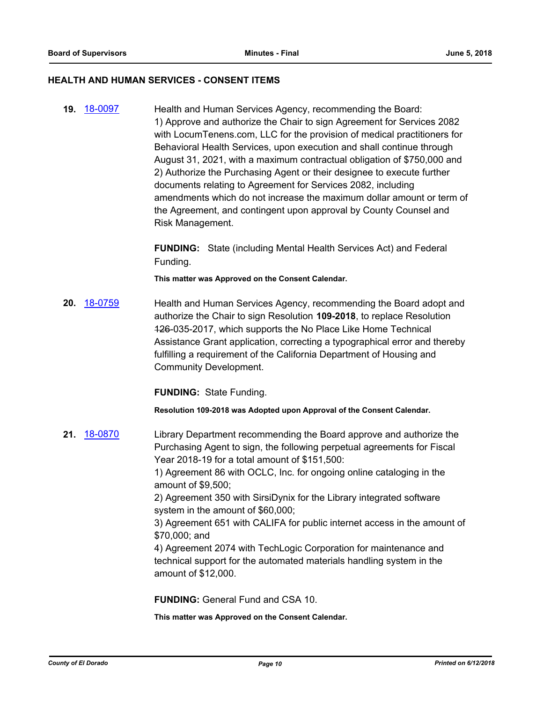#### **HEALTH AND HUMAN SERVICES - CONSENT ITEMS**

**19.** [18-0097](http://eldorado.legistar.com/gateway.aspx?m=l&id=/matter.aspx?key=23439) Health and Human Services Agency, recommending the Board: 1) Approve and authorize the Chair to sign Agreement for Services 2082 with LocumTenens.com, LLC for the provision of medical practitioners for Behavioral Health Services, upon execution and shall continue through August 31, 2021, with a maximum contractual obligation of \$750,000 and 2) Authorize the Purchasing Agent or their designee to execute further documents relating to Agreement for Services 2082, including amendments which do not increase the maximum dollar amount or term of the Agreement, and contingent upon approval by County Counsel and Risk Management.

> **FUNDING:** State (including Mental Health Services Act) and Federal Funding.

**This matter was Approved on the Consent Calendar.**

**20.** [18-0759](http://eldorado.legistar.com/gateway.aspx?m=l&id=/matter.aspx?key=24106) Health and Human Services Agency, recommending the Board adopt and authorize the Chair to sign Resolution **109-2018**, to replace Resolution 126-035-2017, which supports the No Place Like Home Technical Assistance Grant application, correcting a typographical error and thereby fulfilling a requirement of the California Department of Housing and Community Development.

**FUNDING:** State Funding.

**Resolution 109-2018 was Adopted upon Approval of the Consent Calendar.**

**21.** [18-0870](http://eldorado.legistar.com/gateway.aspx?m=l&id=/matter.aspx?key=24217) Library Department recommending the Board approve and authorize the Purchasing Agent to sign, the following perpetual agreements for Fiscal Year 2018-19 for a total amount of \$151,500:

> 1) Agreement 86 with OCLC, Inc. for ongoing online cataloging in the amount of \$9,500;

2) Agreement 350 with SirsiDynix for the Library integrated software system in the amount of \$60,000;

3) Agreement 651 with CALIFA for public internet access in the amount of \$70,000; and

4) Agreement 2074 with TechLogic Corporation for maintenance and technical support for the automated materials handling system in the amount of \$12,000.

**FUNDING:** General Fund and CSA 10.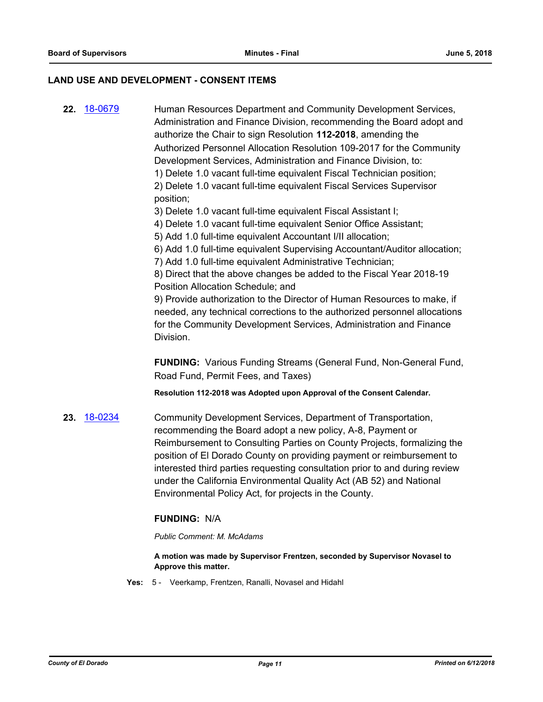#### **LAND USE AND DEVELOPMENT - CONSENT ITEMS**

**22.** [18-0679](http://eldorado.legistar.com/gateway.aspx?m=l&id=/matter.aspx?key=24024) Human Resources Department and Community Development Services, Administration and Finance Division, recommending the Board adopt and authorize the Chair to sign Resolution **112-2018**, amending the Authorized Personnel Allocation Resolution 109-2017 for the Community Development Services, Administration and Finance Division, to: 1) Delete 1.0 vacant full-time equivalent Fiscal Technician position; 2) Delete 1.0 vacant full-time equivalent Fiscal Services Supervisor position;

3) Delete 1.0 vacant full-time equivalent Fiscal Assistant I;

4) Delete 1.0 vacant full-time equivalent Senior Office Assistant;

5) Add 1.0 full-time equivalent Accountant I/II allocation;

6) Add 1.0 full-time equivalent Supervising Accountant/Auditor allocation;

7) Add 1.0 full-time equivalent Administrative Technician;

8) Direct that the above changes be added to the Fiscal Year 2018-19 Position Allocation Schedule; and

9) Provide authorization to the Director of Human Resources to make, if needed, any technical corrections to the authorized personnel allocations for the Community Development Services, Administration and Finance Division.

**FUNDING:** Various Funding Streams (General Fund, Non-General Fund, Road Fund, Permit Fees, and Taxes)

**Resolution 112-2018 was Adopted upon Approval of the Consent Calendar.**

**23.** [18-0234](http://eldorado.legistar.com/gateway.aspx?m=l&id=/matter.aspx?key=23576) Community Development Services, Department of Transportation, recommending the Board adopt a new policy, A-8, Payment or Reimbursement to Consulting Parties on County Projects, formalizing the position of El Dorado County on providing payment or reimbursement to interested third parties requesting consultation prior to and during review under the California Environmental Quality Act (AB 52) and National Environmental Policy Act, for projects in the County.

## **FUNDING:** N/A

*Public Comment: M. McAdams*

**A motion was made by Supervisor Frentzen, seconded by Supervisor Novasel to Approve this matter.**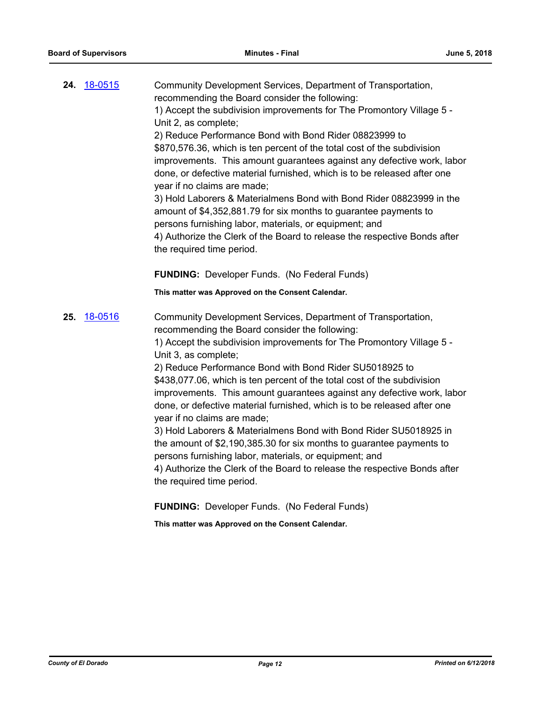|     | <b>24.</b> 18-0515 | Community Development Services, Department of Transportation,<br>recommending the Board consider the following:<br>1) Accept the subdivision improvements for The Promontory Village 5 -<br>Unit 2, as complete;<br>2) Reduce Performance Bond with Bond Rider 08823999 to<br>\$870,576.36, which is ten percent of the total cost of the subdivision<br>improvements. This amount guarantees against any defective work, labor<br>done, or defective material furnished, which is to be released after one<br>year if no claims are made;<br>3) Hold Laborers & Materialmens Bond with Bond Rider 08823999 in the<br>amount of \$4,352,881.79 for six months to guarantee payments to<br>persons furnishing labor, materials, or equipment; and<br>4) Authorize the Clerk of the Board to release the respective Bonds after<br>the required time period.                                                                                                               |
|-----|--------------------|--------------------------------------------------------------------------------------------------------------------------------------------------------------------------------------------------------------------------------------------------------------------------------------------------------------------------------------------------------------------------------------------------------------------------------------------------------------------------------------------------------------------------------------------------------------------------------------------------------------------------------------------------------------------------------------------------------------------------------------------------------------------------------------------------------------------------------------------------------------------------------------------------------------------------------------------------------------------------|
|     |                    | <b>FUNDING:</b> Developer Funds. (No Federal Funds)                                                                                                                                                                                                                                                                                                                                                                                                                                                                                                                                                                                                                                                                                                                                                                                                                                                                                                                      |
|     |                    | This matter was Approved on the Consent Calendar.                                                                                                                                                                                                                                                                                                                                                                                                                                                                                                                                                                                                                                                                                                                                                                                                                                                                                                                        |
| 25. | 18-0516            | Community Development Services, Department of Transportation,<br>recommending the Board consider the following:<br>1) Accept the subdivision improvements for The Promontory Village 5 -<br>Unit 3, as complete;<br>2) Reduce Performance Bond with Bond Rider SU5018925 to<br>\$438,077.06, which is ten percent of the total cost of the subdivision<br>improvements. This amount guarantees against any defective work, labor<br>done, or defective material furnished, which is to be released after one<br>year if no claims are made;<br>3) Hold Laborers & Materialmens Bond with Bond Rider SU5018925 in<br>the amount of \$2,190,385.30 for six months to guarantee payments to<br>persons furnishing labor, materials, or equipment; and<br>4) Authorize the Clerk of the Board to release the respective Bonds after<br>the required time period.<br><b>FUNDING: Developer Funds. (No Federal Funds)</b><br>This matter was Approved on the Consent Calendar. |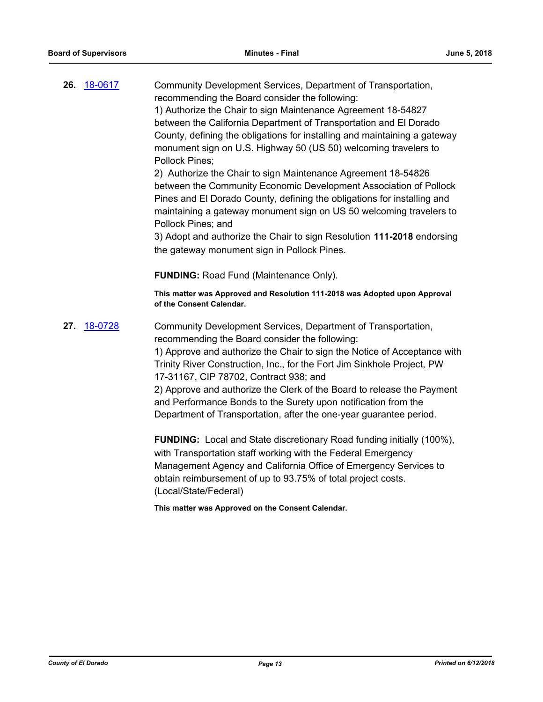|     | 26. 18-0617 | Community Development Services, Department of Transportation,<br>recommending the Board consider the following:<br>1) Authorize the Chair to sign Maintenance Agreement 18-54827<br>between the California Department of Transportation and El Dorado<br>County, defining the obligations for installing and maintaining a gateway<br>monument sign on U.S. Highway 50 (US 50) welcoming travelers to<br>Pollock Pines;<br>2) Authorize the Chair to sign Maintenance Agreement 18-54826<br>between the Community Economic Development Association of Pollock<br>Pines and El Dorado County, defining the obligations for installing and<br>maintaining a gateway monument sign on US 50 welcoming travelers to<br>Pollock Pines; and<br>3) Adopt and authorize the Chair to sign Resolution 111-2018 endorsing<br>the gateway monument sign in Pollock Pines. |
|-----|-------------|----------------------------------------------------------------------------------------------------------------------------------------------------------------------------------------------------------------------------------------------------------------------------------------------------------------------------------------------------------------------------------------------------------------------------------------------------------------------------------------------------------------------------------------------------------------------------------------------------------------------------------------------------------------------------------------------------------------------------------------------------------------------------------------------------------------------------------------------------------------|
|     |             | <b>FUNDING: Road Fund (Maintenance Only).</b>                                                                                                                                                                                                                                                                                                                                                                                                                                                                                                                                                                                                                                                                                                                                                                                                                  |
|     |             | This matter was Approved and Resolution 111-2018 was Adopted upon Approval<br>of the Consent Calendar.                                                                                                                                                                                                                                                                                                                                                                                                                                                                                                                                                                                                                                                                                                                                                         |
| 27. | 18-0728     | Community Development Services, Department of Transportation,<br>recommending the Board consider the following:<br>1) Approve and authorize the Chair to sign the Notice of Acceptance with<br>Trinity River Construction, Inc., for the Fort Jim Sinkhole Project, PW<br>17-31167, CIP 78702, Contract 938; and<br>2) Approve and authorize the Clerk of the Board to release the Payment<br>and Performance Bonds to the Surety upon notification from the<br>Department of Transportation, after the one-year guarantee period.                                                                                                                                                                                                                                                                                                                             |

**FUNDING:** Local and State discretionary Road funding initially (100%), with Transportation staff working with the Federal Emergency Management Agency and California Office of Emergency Services to obtain reimbursement of up to 93.75% of total project costs. (Local/State/Federal)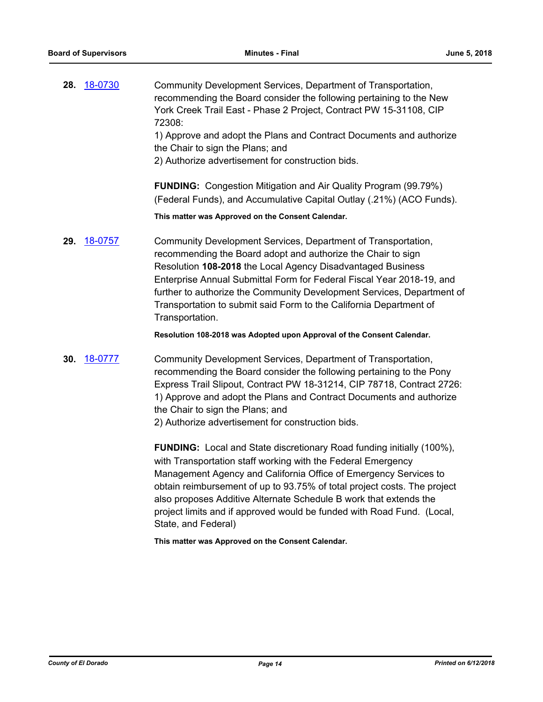**28.** [18-0730](http://eldorado.legistar.com/gateway.aspx?m=l&id=/matter.aspx?key=24077) Community Development Services, Department of Transportation, recommending the Board consider the following pertaining to the New York Creek Trail East - Phase 2 Project, Contract PW 15-31108, CIP 72308: 1) Approve and adopt the Plans and Contract Documents and authorize the Chair to sign the Plans; and

2) Authorize advertisement for construction bids.

**FUNDING:** Congestion Mitigation and Air Quality Program (99.79%) (Federal Funds), and Accumulative Capital Outlay (.21%) (ACO Funds).

**This matter was Approved on the Consent Calendar.**

**29.** [18-0757](http://eldorado.legistar.com/gateway.aspx?m=l&id=/matter.aspx?key=24104) Community Development Services, Department of Transportation, recommending the Board adopt and authorize the Chair to sign Resolution **108-2018** the Local Agency Disadvantaged Business Enterprise Annual Submittal Form for Federal Fiscal Year 2018-19, and further to authorize the Community Development Services, Department of Transportation to submit said Form to the California Department of Transportation.

**Resolution 108-2018 was Adopted upon Approval of the Consent Calendar.**

**30.** [18-0777](http://eldorado.legistar.com/gateway.aspx?m=l&id=/matter.aspx?key=24124) Community Development Services, Department of Transportation, recommending the Board consider the following pertaining to the Pony Express Trail Slipout, Contract PW 18-31214, CIP 78718, Contract 2726: 1) Approve and adopt the Plans and Contract Documents and authorize the Chair to sign the Plans; and

2) Authorize advertisement for construction bids.

**FUNDING:** Local and State discretionary Road funding initially (100%), with Transportation staff working with the Federal Emergency Management Agency and California Office of Emergency Services to obtain reimbursement of up to 93.75% of total project costs. The project also proposes Additive Alternate Schedule B work that extends the project limits and if approved would be funded with Road Fund. (Local, State, and Federal)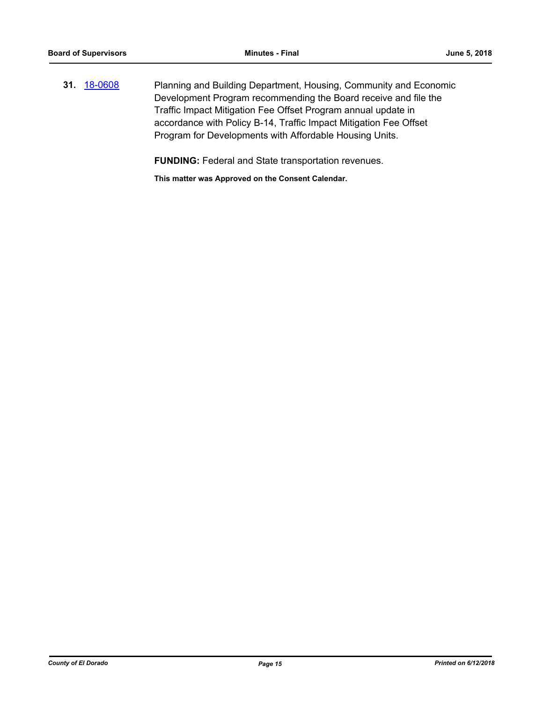**31.** [18-0608](http://eldorado.legistar.com/gateway.aspx?m=l&id=/matter.aspx?key=23953) Planning and Building Department, Housing, Community and Economic Development Program recommending the Board receive and file the Traffic Impact Mitigation Fee Offset Program annual update in accordance with Policy B-14, Traffic Impact Mitigation Fee Offset Program for Developments with Affordable Housing Units.

**FUNDING:** Federal and State transportation revenues.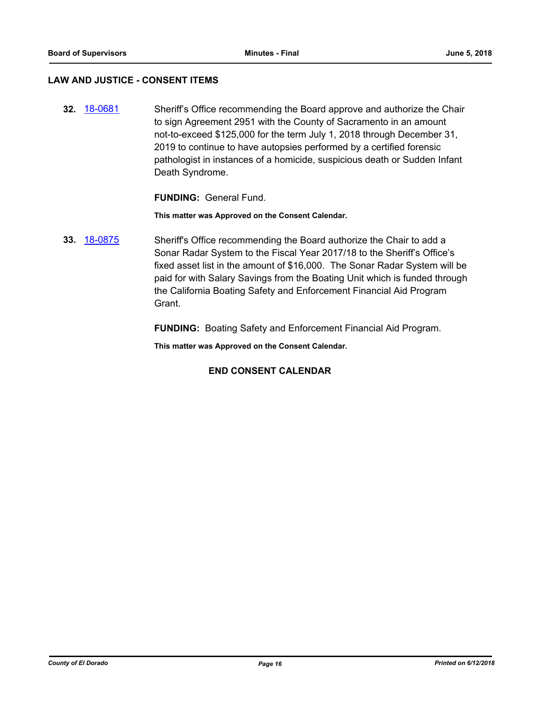#### **LAW AND JUSTICE - CONSENT ITEMS**

**32.** [18-0681](http://eldorado.legistar.com/gateway.aspx?m=l&id=/matter.aspx?key=24026) Sheriff's Office recommending the Board approve and authorize the Chair to sign Agreement 2951 with the County of Sacramento in an amount not-to-exceed \$125,000 for the term July 1, 2018 through December 31, 2019 to continue to have autopsies performed by a certified forensic pathologist in instances of a homicide, suspicious death or Sudden Infant Death Syndrome.

#### **FUNDING:** General Fund.

**This matter was Approved on the Consent Calendar.**

**33.** [18-0875](http://eldorado.legistar.com/gateway.aspx?m=l&id=/matter.aspx?key=24222) Sheriff's Office recommending the Board authorize the Chair to add a Sonar Radar System to the Fiscal Year 2017/18 to the Sheriff's Office's fixed asset list in the amount of \$16,000. The Sonar Radar System will be paid for with Salary Savings from the Boating Unit which is funded through the California Boating Safety and Enforcement Financial Aid Program Grant.

**FUNDING:** Boating Safety and Enforcement Financial Aid Program.

**This matter was Approved on the Consent Calendar.**

## **END CONSENT CALENDAR**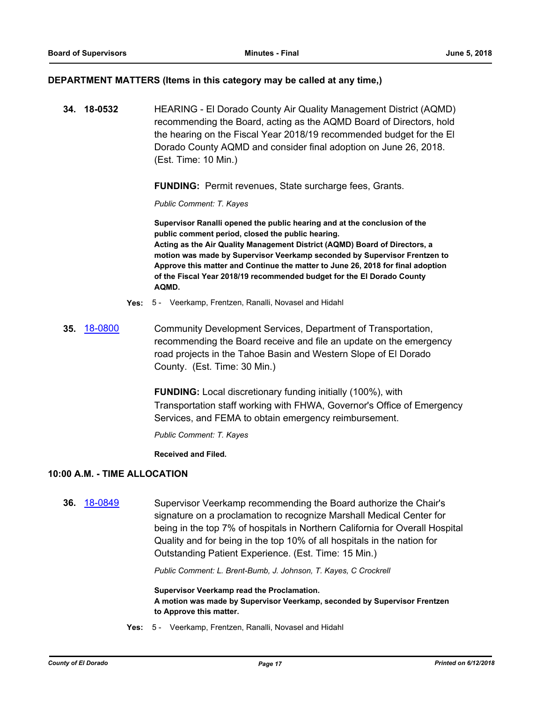#### **DEPARTMENT MATTERS (Items in this category may be called at any time,)**

**34. 18-0532** HEARING - El Dorado County Air Quality Management District (AQMD) recommending the Board, acting as the AQMD Board of Directors, hold the hearing on the Fiscal Year 2018/19 recommended budget for the El Dorado County AQMD and consider final adoption on June 26, 2018. (Est. Time: 10 Min.)

**FUNDING:** Permit revenues, State surcharge fees, Grants.

*Public Comment: T. Kayes*

**Supervisor Ranalli opened the public hearing and at the conclusion of the public comment period, closed the public hearing. Acting as the Air Quality Management District (AQMD) Board of Directors, a motion was made by Supervisor Veerkamp seconded by Supervisor Frentzen to Approve this matter and Continue the matter to June 26, 2018 for final adoption of the Fiscal Year 2018/19 recommended budget for the El Dorado County AQMD.**

- **Yes:** 5 Veerkamp, Frentzen, Ranalli, Novasel and Hidahl
- **35.** [18-0800](http://eldorado.legistar.com/gateway.aspx?m=l&id=/matter.aspx?key=24147) Community Development Services, Department of Transportation, recommending the Board receive and file an update on the emergency road projects in the Tahoe Basin and Western Slope of El Dorado County. (Est. Time: 30 Min.)

**FUNDING:** Local discretionary funding initially (100%), with Transportation staff working with FHWA, Governor's Office of Emergency Services, and FEMA to obtain emergency reimbursement.

*Public Comment: T. Kayes*

**Received and Filed.**

## **10:00 A.M. - TIME ALLOCATION**

**36.** [18-0849](http://eldorado.legistar.com/gateway.aspx?m=l&id=/matter.aspx?key=24196) Supervisor Veerkamp recommending the Board authorize the Chair's signature on a proclamation to recognize Marshall Medical Center for being in the top 7% of hospitals in Northern California for Overall Hospital Quality and for being in the top 10% of all hospitals in the nation for Outstanding Patient Experience. (Est. Time: 15 Min.)

*Public Comment: L. Brent-Bumb, J. Johnson, T. Kayes, C Crockrell*

**Supervisor Veerkamp read the Proclamation. A motion was made by Supervisor Veerkamp, seconded by Supervisor Frentzen to Approve this matter.**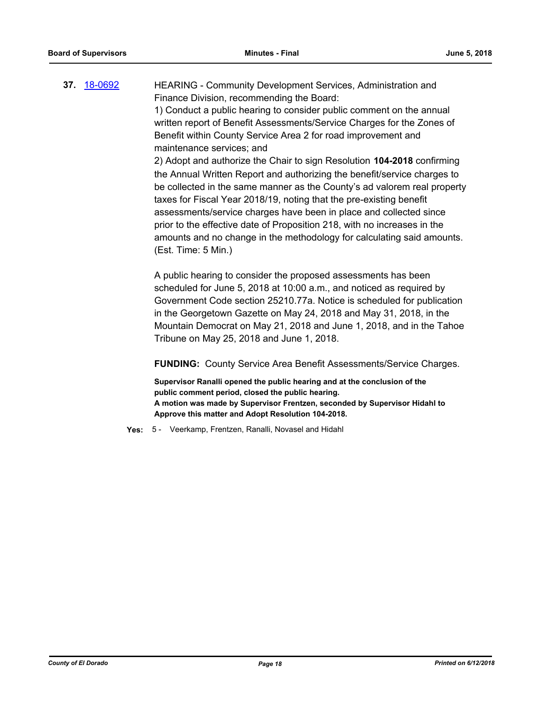**37.** [18-0692](http://eldorado.legistar.com/gateway.aspx?m=l&id=/matter.aspx?key=24036) HEARING - Community Development Services, Administration and Finance Division, recommending the Board: 1) Conduct a public hearing to consider public comment on the annual written report of Benefit Assessments/Service Charges for the Zones of Benefit within County Service Area 2 for road improvement and maintenance services; and 2) Adopt and authorize the Chair to sign Resolution **104-2018** confirming the Annual Written Report and authorizing the benefit/service charges to be collected in the same manner as the County's ad valorem real property taxes for Fiscal Year 2018/19, noting that the pre-existing benefit assessments/service charges have been in place and collected since prior to the effective date of Proposition 218, with no increases in the amounts and no change in the methodology for calculating said amounts.

> A public hearing to consider the proposed assessments has been scheduled for June 5, 2018 at 10:00 a.m., and noticed as required by Government Code section 25210.77a. Notice is scheduled for publication in the Georgetown Gazette on May 24, 2018 and May 31, 2018, in the Mountain Democrat on May 21, 2018 and June 1, 2018, and in the Tahoe

**FUNDING:** County Service Area Benefit Assessments/Service Charges.

**Supervisor Ranalli opened the public hearing and at the conclusion of the public comment period, closed the public hearing. A motion was made by Supervisor Frentzen, seconded by Supervisor Hidahl to Approve this matter and Adopt Resolution 104-2018.**

**Yes:** 5 - Veerkamp, Frentzen, Ranalli, Novasel and Hidahl

Tribune on May 25, 2018 and June 1, 2018.

(Est. Time: 5 Min.)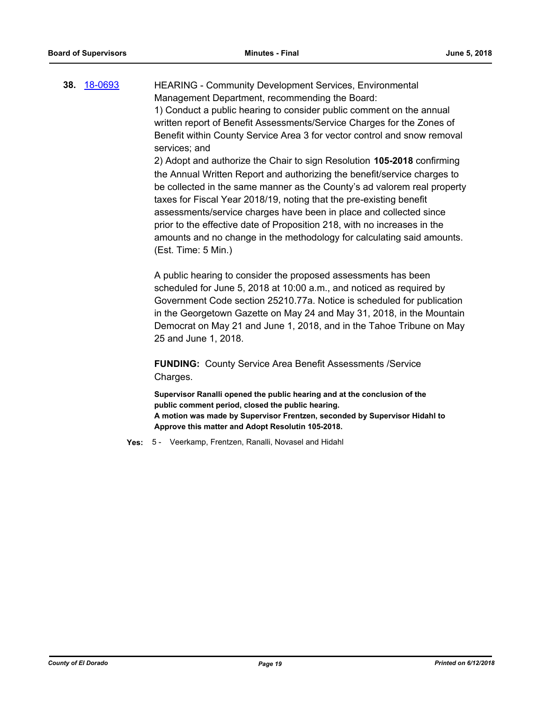**38.** [18-0693](http://eldorado.legistar.com/gateway.aspx?m=l&id=/matter.aspx?key=24037) HEARING - Community Development Services, Environmental Management Department, recommending the Board: 1) Conduct a public hearing to consider public comment on the annual written report of Benefit Assessments/Service Charges for the Zones of Benefit within County Service Area 3 for vector control and snow removal services; and 2) Adopt and authorize the Chair to sign Resolution **105-2018** confirming the Annual Written Report and authorizing the benefit/service charges to

be collected in the same manner as the County's ad valorem real property taxes for Fiscal Year 2018/19, noting that the pre-existing benefit assessments/service charges have been in place and collected since prior to the effective date of Proposition 218, with no increases in the amounts and no change in the methodology for calculating said amounts. (Est. Time: 5 Min.)

A public hearing to consider the proposed assessments has been scheduled for June 5, 2018 at 10:00 a.m., and noticed as required by Government Code section 25210.77a. Notice is scheduled for publication in the Georgetown Gazette on May 24 and May 31, 2018, in the Mountain Democrat on May 21 and June 1, 2018, and in the Tahoe Tribune on May 25 and June 1, 2018.

**FUNDING:** County Service Area Benefit Assessments /Service Charges.

**Supervisor Ranalli opened the public hearing and at the conclusion of the public comment period, closed the public hearing. A motion was made by Supervisor Frentzen, seconded by Supervisor Hidahl to Approve this matter and Adopt Resolutin 105-2018.**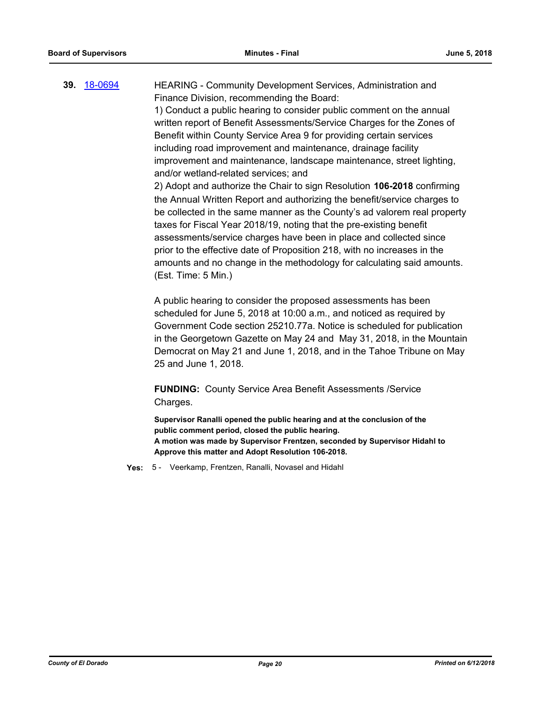**39.** [18-0694](http://eldorado.legistar.com/gateway.aspx?m=l&id=/matter.aspx?key=24038) HEARING - Community Development Services, Administration and Finance Division, recommending the Board: 1) Conduct a public hearing to consider public comment on the annual written report of Benefit Assessments/Service Charges for the Zones of Benefit within County Service Area 9 for providing certain services including road improvement and maintenance, drainage facility improvement and maintenance, landscape maintenance, street lighting, and/or wetland-related services; and 2) Adopt and authorize the Chair to sign Resolution **106-2018** confirming the Annual Written Report and authorizing the benefit/service charges to be collected in the same manner as the County's ad valorem real property taxes for Fiscal Year 2018/19, noting that the pre-existing benefit assessments/service charges have been in place and collected since prior to the effective date of Proposition 218, with no increases in the amounts and no change in the methodology for calculating said amounts. (Est. Time: 5 Min.)

> A public hearing to consider the proposed assessments has been scheduled for June 5, 2018 at 10:00 a.m., and noticed as required by Government Code section 25210.77a. Notice is scheduled for publication in the Georgetown Gazette on May 24 and May 31, 2018, in the Mountain Democrat on May 21 and June 1, 2018, and in the Tahoe Tribune on May 25 and June 1, 2018.

**FUNDING:** County Service Area Benefit Assessments /Service Charges.

**Supervisor Ranalli opened the public hearing and at the conclusion of the public comment period, closed the public hearing. A motion was made by Supervisor Frentzen, seconded by Supervisor Hidahl to Approve this matter and Adopt Resolution 106-2018.**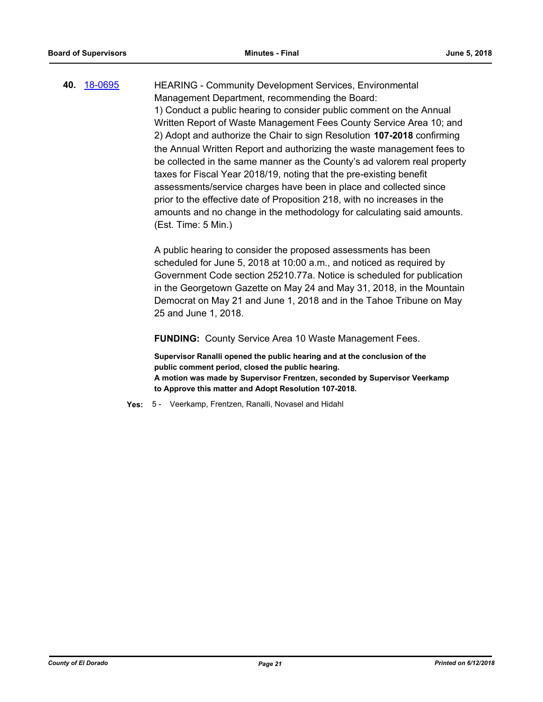**40.** [18-0695](http://eldorado.legistar.com/gateway.aspx?m=l&id=/matter.aspx?key=24039) HEARING - Community Development Services, Environmental Management Department, recommending the Board: 1) Conduct a public hearing to consider public comment on the Annual Written Report of Waste Management Fees County Service Area 10; and 2) Adopt and authorize the Chair to sign Resolution **107-2018** confirming the Annual Written Report and authorizing the waste management fees to be collected in the same manner as the County's ad valorem real property taxes for Fiscal Year 2018/19, noting that the pre-existing benefit assessments/service charges have been in place and collected since prior to the effective date of Proposition 218, with no increases in the amounts and no change in the methodology for calculating said amounts. (Est. Time: 5 Min.)

> A public hearing to consider the proposed assessments has been scheduled for June 5, 2018 at 10:00 a.m., and noticed as required by Government Code section 25210.77a. Notice is scheduled for publication in the Georgetown Gazette on May 24 and May 31, 2018, in the Mountain Democrat on May 21 and June 1, 2018 and in the Tahoe Tribune on May 25 and June 1, 2018.

**FUNDING:** County Service Area 10 Waste Management Fees.

**Supervisor Ranalli opened the public hearing and at the conclusion of the public comment period, closed the public hearing. A motion was made by Supervisor Frentzen, seconded by Supervisor Veerkamp to Approve this matter and Adopt Resolution 107-2018.**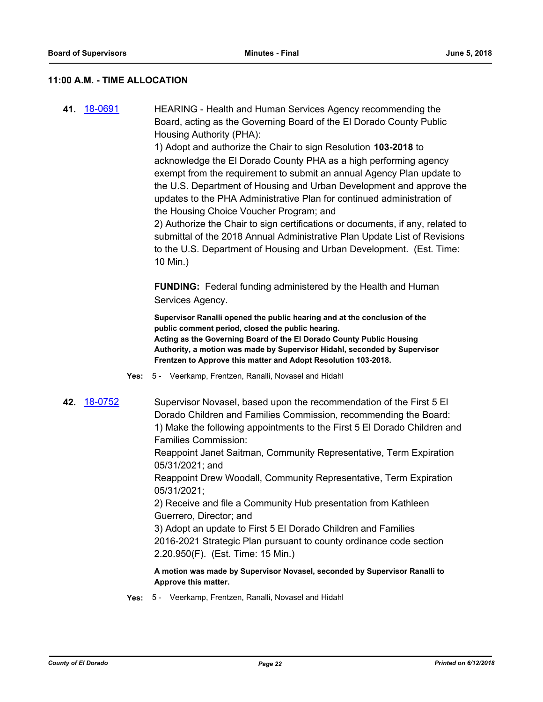#### **11:00 A.M. - TIME ALLOCATION**

**41.** [18-0691](http://eldorado.legistar.com/gateway.aspx?m=l&id=/matter.aspx?key=24035) HEARING - Health and Human Services Agency recommending the Board, acting as the Governing Board of the El Dorado County Public Housing Authority (PHA):

> 1) Adopt and authorize the Chair to sign Resolution **103-2018** to acknowledge the El Dorado County PHA as a high performing agency exempt from the requirement to submit an annual Agency Plan update to the U.S. Department of Housing and Urban Development and approve the updates to the PHA Administrative Plan for continued administration of the Housing Choice Voucher Program; and

> 2) Authorize the Chair to sign certifications or documents, if any, related to submittal of the 2018 Annual Administrative Plan Update List of Revisions to the U.S. Department of Housing and Urban Development. (Est. Time: 10 Min.)

**FUNDING:** Federal funding administered by the Health and Human Services Agency.

**Supervisor Ranalli opened the public hearing and at the conclusion of the public comment period, closed the public hearing. Acting as the Governing Board of the El Dorado County Public Housing Authority, a motion was made by Supervisor Hidahl, seconded by Supervisor Frentzen to Approve this matter and Adopt Resolution 103-2018.**

- **Yes:** 5 Veerkamp, Frentzen, Ranalli, Novasel and Hidahl
- **42.** [18-0752](http://eldorado.legistar.com/gateway.aspx?m=l&id=/matter.aspx?key=24099) Supervisor Novasel, based upon the recommendation of the First 5 El Dorado Children and Families Commission, recommending the Board: 1) Make the following appointments to the First 5 El Dorado Children and Families Commission:

Reappoint Janet Saitman, Community Representative, Term Expiration 05/31/2021; and

Reappoint Drew Woodall, Community Representative, Term Expiration 05/31/2021;

2) Receive and file a Community Hub presentation from Kathleen Guerrero, Director; and

3) Adopt an update to First 5 El Dorado Children and Families 2016-2021 Strategic Plan pursuant to county ordinance code section 2.20.950(F). (Est. Time: 15 Min.)

**A motion was made by Supervisor Novasel, seconded by Supervisor Ranalli to Approve this matter.**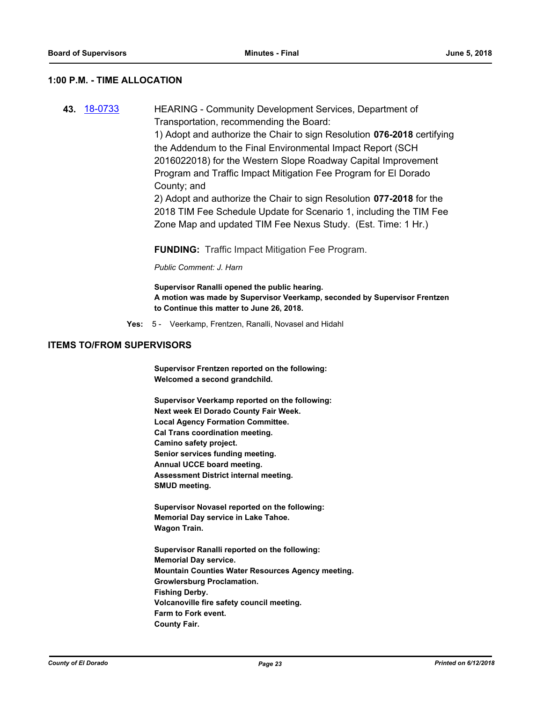#### **1:00 P.M. - TIME ALLOCATION**

**43.** [18-0733](http://eldorado.legistar.com/gateway.aspx?m=l&id=/matter.aspx?key=24080) HEARING - Community Development Services, Department of Transportation, recommending the Board: 1) Adopt and authorize the Chair to sign Resolution **076-2018** certifying the Addendum to the Final Environmental Impact Report (SCH 2016022018) for the Western Slope Roadway Capital Improvement Program and Traffic Impact Mitigation Fee Program for El Dorado County; and 2) Adopt and authorize the Chair to sign Resolution **077-2018** for the 2018 TIM Fee Schedule Update for Scenario 1, including the TIM Fee Zone Map and updated TIM Fee Nexus Study. (Est. Time: 1 Hr.)

**FUNDING:** Traffic Impact Mitigation Fee Program.

*Public Comment: J. Harn*

**Supervisor Ranalli opened the public hearing. A motion was made by Supervisor Veerkamp, seconded by Supervisor Frentzen to Continue this matter to June 26, 2018.**

**Yes:** 5 - Veerkamp, Frentzen, Ranalli, Novasel and Hidahl

#### **ITEMS TO/FROM SUPERVISORS**

**Supervisor Frentzen reported on the following: Welcomed a second grandchild.**

**Supervisor Veerkamp reported on the following: Next week El Dorado County Fair Week. Local Agency Formation Committee. Cal Trans coordination meeting. Camino safety project. Senior services funding meeting. Annual UCCE board meeting. Assessment District internal meeting. SMUD meeting.**

**Supervisor Novasel reported on the following: Memorial Day service in Lake Tahoe. Wagon Train.**

**Supervisor Ranalli reported on the following: Memorial Day service. Mountain Counties Water Resources Agency meeting. Growlersburg Proclamation. Fishing Derby. Volcanoville fire safety council meeting. Farm to Fork event. County Fair.**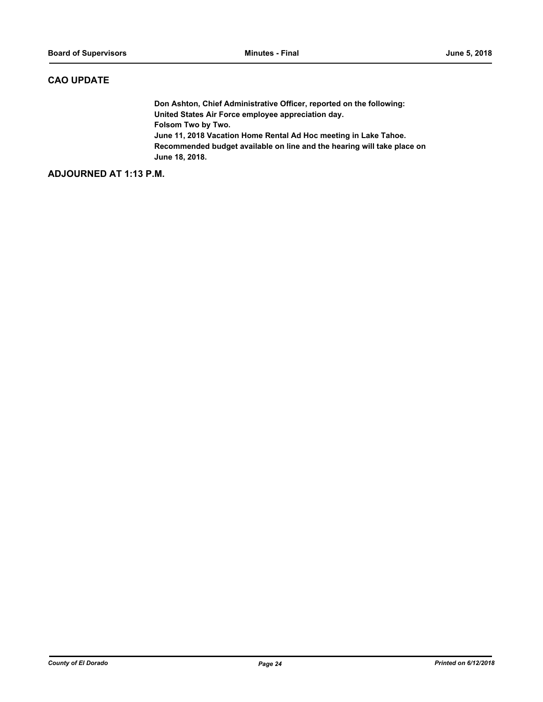## **CAO UPDATE**

**Don Ashton, Chief Administrative Officer, reported on the following: United States Air Force employee appreciation day. Folsom Two by Two. June 11, 2018 Vacation Home Rental Ad Hoc meeting in Lake Tahoe. Recommended budget available on line and the hearing will take place on June 18, 2018.**

#### **ADJOURNED AT 1:13 P.M.**